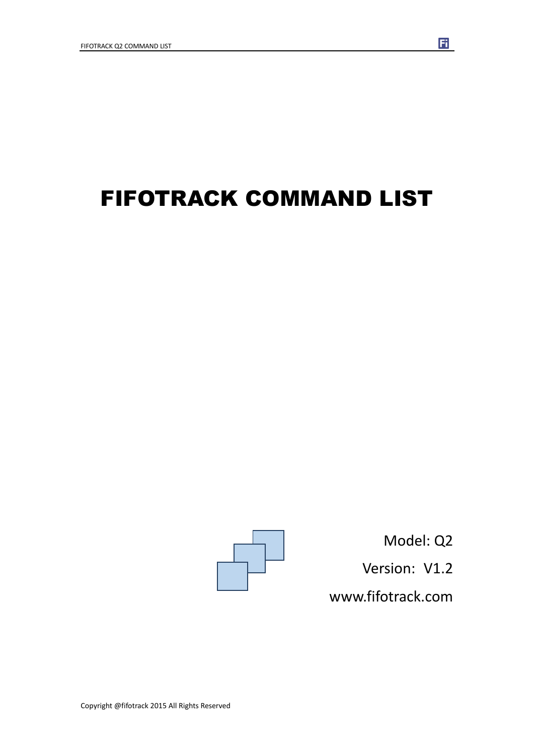# FIFOTRACK COMMAND LIST



Model: Q2 Version: V1.2 www.fifotrack.com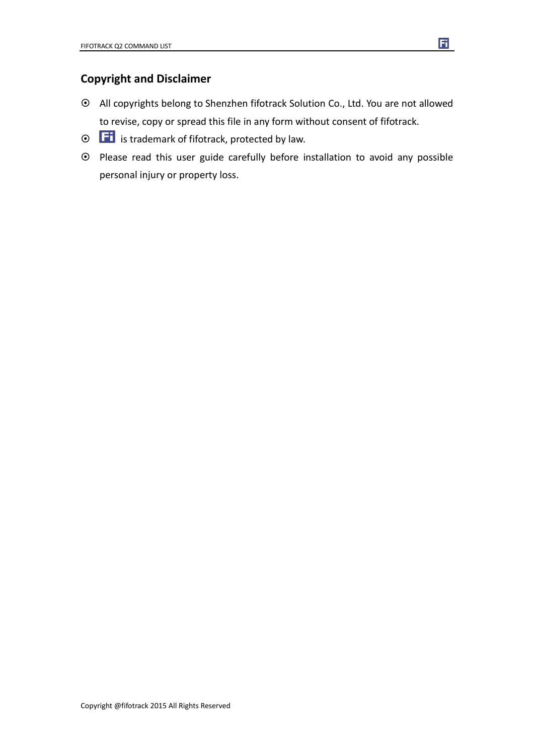### **Copyright and Disclaimer**

 All copyrights belong to Shenzhen fifotrack Solution Co., Ltd. You are not allowed to revise, copy or spread this file in any form without consent of fifotrack.

Ħ

- $\odot$   $\Box$  is trademark of fifotrack, protected by law.
- Please read this user guide carefully before installation to avoid any possible personal injury or property loss.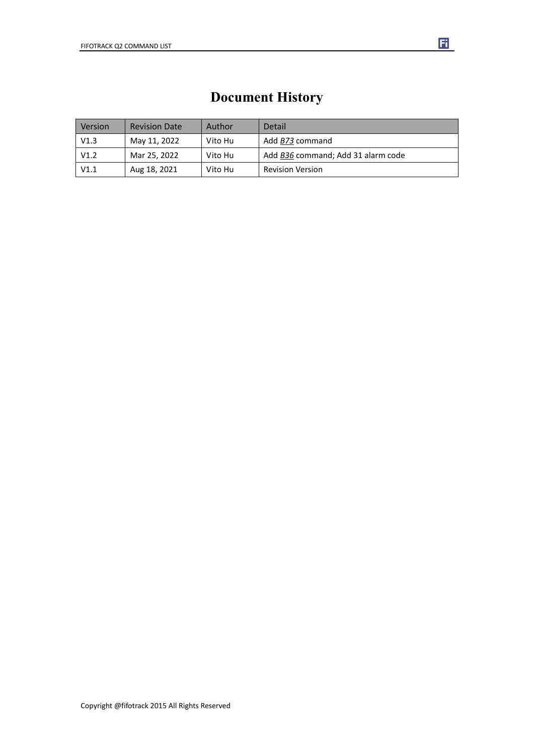### **Document History**

| Version | <b>Revision Date</b> | Author  | Detail                             |
|---------|----------------------|---------|------------------------------------|
| V1.3    | May 11, 2022         | Vito Hu | Add B73 command                    |
| V1.2    | Mar 25, 2022         | Vito Hu | Add B36 command; Add 31 alarm code |
| V1.1    | Aug 18, 2021         | Vito Hu | <b>Revision Version</b>            |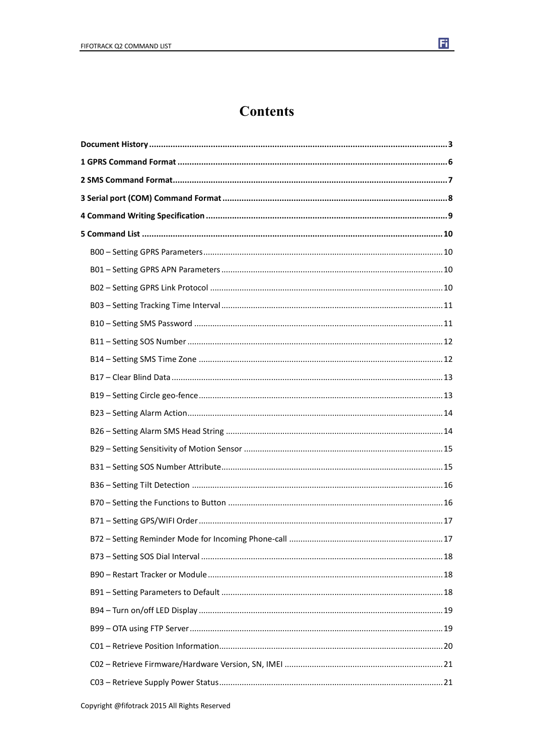

### **Contents**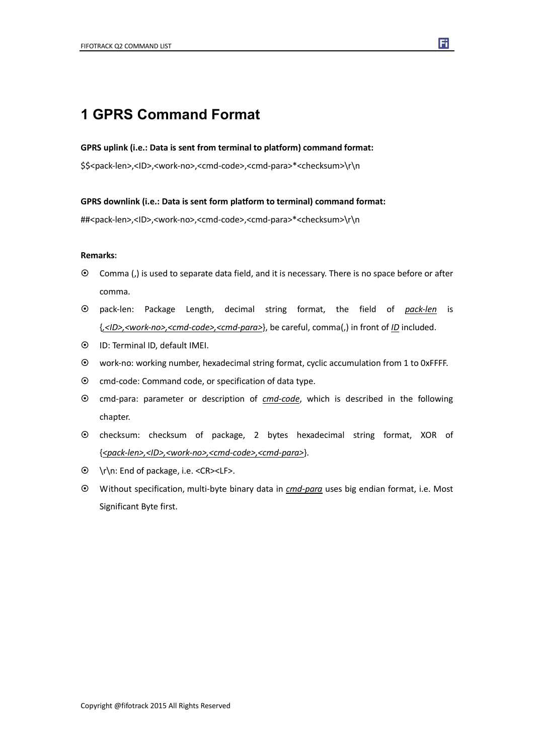### **1 GPRS Command Format**

#### **GPRS uplink (i.e.: Data is sent from terminal to platform) command format:**

\$\$<pack-len>,<ID>,<work-no>,<cmd-code>,<cmd-para>\*<checksum>\r\n

#### **GPRS downlink (i.e.: Data is sent form platform to terminal) command format:**

##<pack-len>,<ID>,<work-no>,<cmd-code>,<cmd-para>\*<checksum>\r\n

#### **Remarks:**

- Comma (,) is used to separate data field, and it is necessary. There is no space before or after comma.
- pack-len: Package Length, decimal string format, the field of *pack-len* is {*,<ID>,<work-no>,<cmd-code>,<cmd-para>*}, be careful, comma(,) in front of *ID* included.
- ID: Terminal ID, default IMEI.
- work-no: working number, hexadecimal string format, cyclic accumulation from 1 to 0xFFFF.
- $\odot$  cmd-code: Command code, or specification of data type.
- cmd-para: parameter or description of *cmd-code*, which is described in the following chapter.
- checksum: checksum of package, 2 bytes hexadecimal string format, XOR of {*<pack-len>,<ID>,<work-no>,<cmd-code>,<cmd-para>*}.
- \r\n: End of package, i.e. <CR><LF>.
- Without specification, multi-byte binary data in *cmd-para* uses big endian format, i.e. Most Significant Byte first.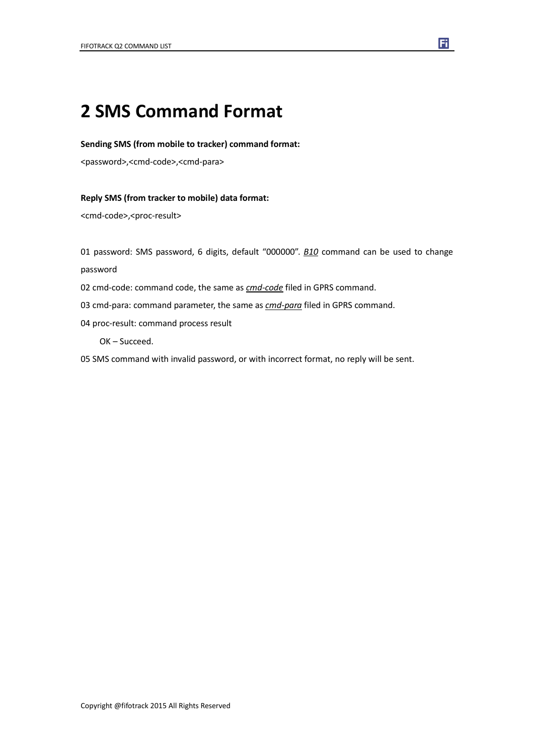## **2 SMS Command Format**

#### **Sending SMS (from mobile to tracker) command format:**

<password>,<cmd-code>,<cmd-para>

#### **Reply SMS (from tracker to mobile) data format:**

<cmd-code>,<proc-result>

01 password: SMS password, 6 digits, default "000000". *B10* command can be used to change password

- 02 cmd-code: command code, the same as *cmd-code* filed in GPRS command.
- 03 cmd-para: command parameter, the same as *cmd-para* filed in GPRS command.
- 04 proc-result: command process result

OK – Succeed.

05 SMS command with invalid password, or with incorrect format, no reply will be sent.

Ħ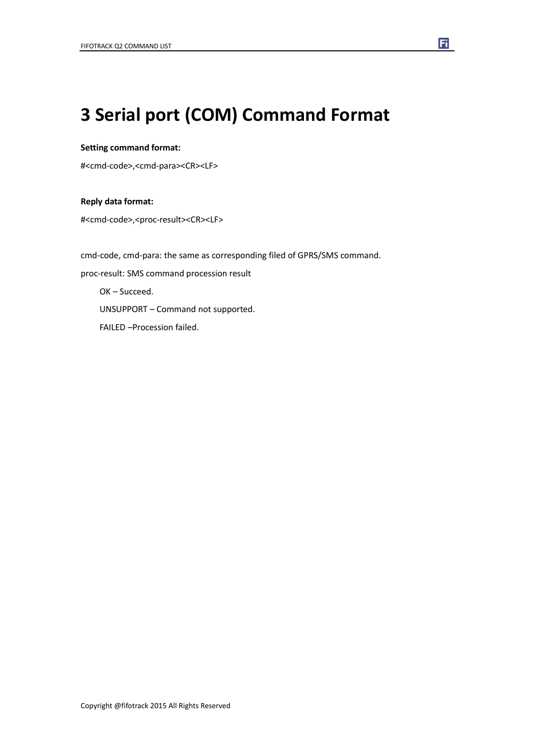## **3 Serial port (COM) Command Format**

#### **Setting command format:**

#<cmd-code>,<cmd-para><CR><LF>

#### **Reply data format:**

#<cmd-code>,<proc-result><CR><LF>

cmd-code, cmd-para: the same as corresponding filed of GPRS/SMS command. proc-result: SMS command procession result OK – Succeed. UNSUPPORT – Command not supported. FAILED –Procession failed.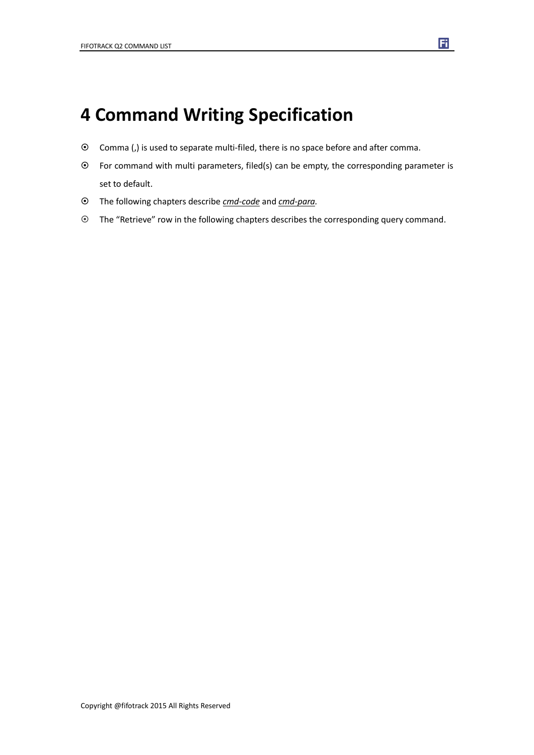## **4 Command Writing Specification**

- Comma (,) is used to separate multi-filed, there is no space before and after comma.
- For command with multi parameters, filed(s) can be empty, the corresponding parameter is set to default.

- The following chapters describe *cmd-code* and *cmd-para.*
- The "Retrieve" row in the following chapters describes the corresponding query command.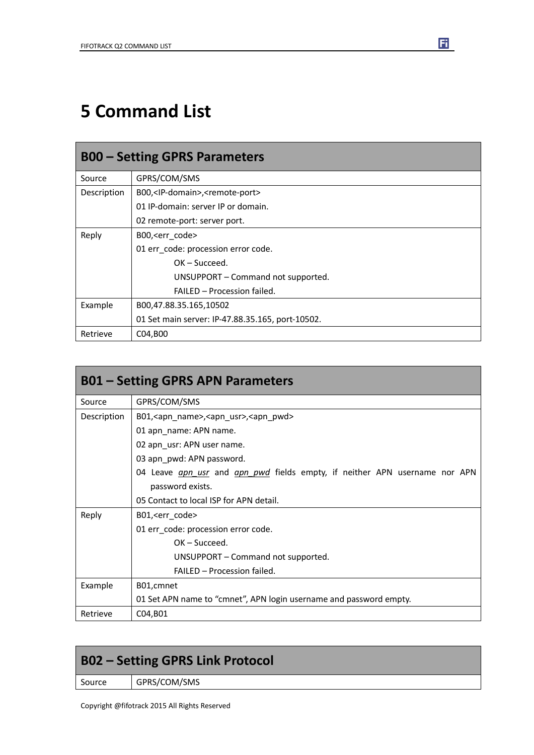## **5 Command List**

| <b>B00 – Setting GPRS Parameters</b> |                                                          |  |
|--------------------------------------|----------------------------------------------------------|--|
| Source                               | GPRS/COM/SMS                                             |  |
| Description                          | B00, <ip-domain>,<remote-port></remote-port></ip-domain> |  |
|                                      | 01 IP-domain: server IP or domain.                       |  |
|                                      | 02 remote-port: server port.                             |  |
| Reply                                | B00, <err code=""></err>                                 |  |
|                                      | 01 err code: procession error code.                      |  |
|                                      | $OK - Succeed.$                                          |  |
|                                      | UNSUPPORT - Command not supported.                       |  |
|                                      | FAILED - Procession failed.                              |  |
| Example                              | B00,47.88.35.165,10502                                   |  |
|                                      | 01 Set main server: IP-47.88.35.165, port-10502.         |  |
| Retrieve                             | C04,B00                                                  |  |

| <b>B01 – Setting GPRS APN Parameters</b> |                                                                                          |  |
|------------------------------------------|------------------------------------------------------------------------------------------|--|
| Source                                   | GPRS/COM/SMS                                                                             |  |
| Description                              | B01, <apn_name>, <apn_usr>, <apn_pwd></apn_pwd></apn_usr></apn_name>                     |  |
|                                          | 01 apn_name: APN name.                                                                   |  |
|                                          | 02 apn_usr: APN user name.                                                               |  |
|                                          | 03 apn_pwd: APN password.                                                                |  |
|                                          | 04 Leave <i>apn usr</i> and <i>apn pwd</i> fields empty, if neither APN username nor APN |  |
|                                          | password exists.                                                                         |  |
|                                          | 05 Contact to local ISP for APN detail.                                                  |  |
| Reply                                    | B01, <err_code></err_code>                                                               |  |
|                                          | 01 err_code: procession error code.                                                      |  |
|                                          | $OK - Succeed.$                                                                          |  |
|                                          | UNSUPPORT – Command not supported.                                                       |  |
|                                          | <b>FAILED - Procession failed.</b>                                                       |  |
| Example                                  | B01, cmnet                                                                               |  |
|                                          | 01 Set APN name to "cmnet", APN login username and password empty.                       |  |
| Retrieve                                 | C04, B01                                                                                 |  |

| <b>B02 - Setting GPRS Link Protocol</b> |              |
|-----------------------------------------|--------------|
| Source                                  | GPRS/COM/SMS |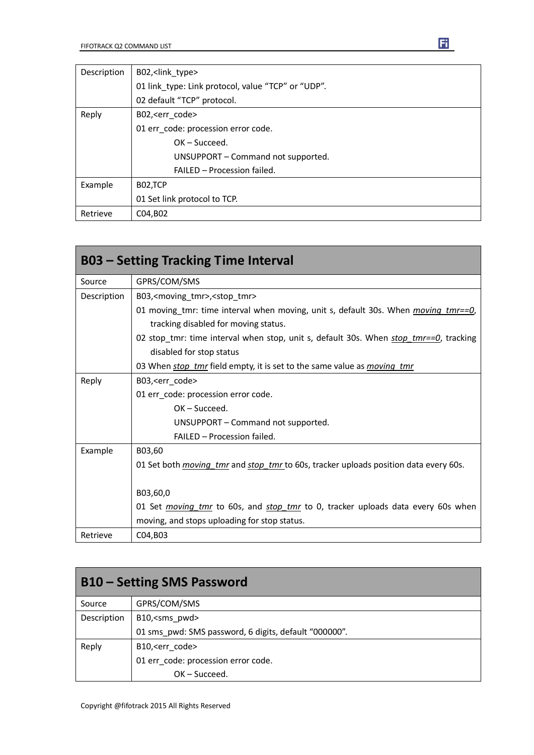| Description | B02, <link type=""/>                               |  |
|-------------|----------------------------------------------------|--|
|             | 01 link type: Link protocol, value "TCP" or "UDP". |  |
|             | 02 default "TCP" protocol.                         |  |
| Reply       | B02, <err code=""></err>                           |  |
|             | 01 err_code: procession error code.                |  |
|             | $OK - Succeed.$                                    |  |
|             | UNSUPPORT – Command not supported.                 |  |
|             | FAILED - Procession failed.                        |  |
| Example     | B02,TCP                                            |  |
|             | 01 Set link protocol to TCP.                       |  |
| Retrieve    | C04, B02                                           |  |

|             | <b>B03 – Setting Tracking Time Interval</b>                                                        |
|-------------|----------------------------------------------------------------------------------------------------|
| Source      | GPRS/COM/SMS                                                                                       |
| Description | B03, <moving_tmr>,<stop_tmr></stop_tmr></moving_tmr>                                               |
|             | 01 moving tmr: time interval when moving, unit s, default 30s. When <i>moving tmr==0</i> ,         |
|             | tracking disabled for moving status.                                                               |
|             | 02 stop_tmr: time interval when stop, unit s, default 30s. When stop tmr==0, tracking              |
|             | disabled for stop status                                                                           |
|             | 03 When <i>stop tmr</i> field empty, it is set to the same value as <i>moving tmr</i>              |
| Reply       | B03, <err_code></err_code>                                                                         |
|             | 01 err_code: procession error code.                                                                |
|             | $OK - Succeed.$                                                                                    |
|             | UNSUPPORT – Command not supported.                                                                 |
|             | FAILED - Procession failed.                                                                        |
| Example     | B03,60                                                                                             |
|             | 01 Set both <i>moving tmr</i> and <i>stop tmr</i> to 60s, tracker uploads position data every 60s. |
|             | B03,60,0                                                                                           |
|             | 01 Set <i>moving tmr</i> to 60s, and <i>stop tmr</i> to 0, tracker uploads data every 60s when     |
|             | moving, and stops uploading for stop status.                                                       |
| Retrieve    | C04,B03                                                                                            |

| <b>B10 – Setting SMS Password</b> |                                                       |  |
|-----------------------------------|-------------------------------------------------------|--|
| Source                            | GPRS/COM/SMS                                          |  |
| Description                       | B10, <sms pwd=""></sms>                               |  |
|                                   | 01 sms pwd: SMS password, 6 digits, default "000000". |  |
| Reply                             | B10, <err code=""></err>                              |  |
|                                   | 01 err_code: procession error code.                   |  |
|                                   | $OK - Succeed.$                                       |  |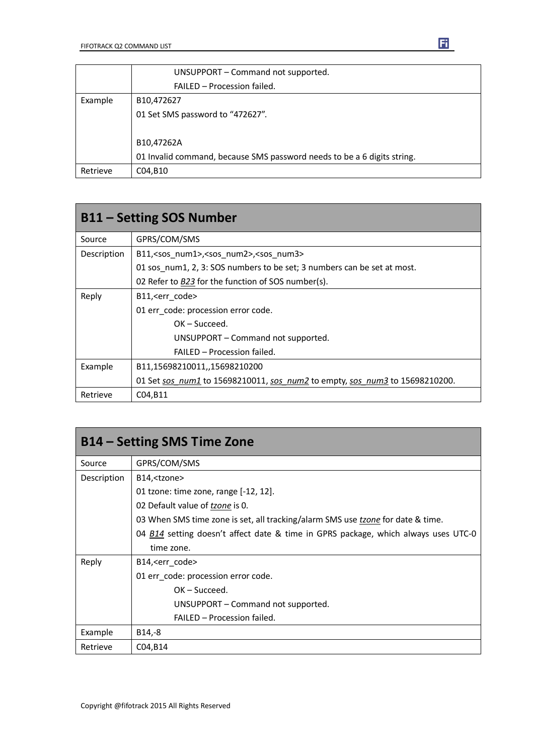|          | UNSUPPORT - Command not supported.                                      |
|----------|-------------------------------------------------------------------------|
|          | FAILED - Procession failed.                                             |
| Example  | B <sub>10</sub> ,472627                                                 |
|          | 01 Set SMS password to "472627".                                        |
|          |                                                                         |
|          | B10,47262A                                                              |
|          | 01 Invalid command, because SMS password needs to be a 6 digits string. |
| Retrieve | C04,B10                                                                 |

| <b>B11 – Setting SOS Number</b> |                                                                             |  |
|---------------------------------|-----------------------------------------------------------------------------|--|
| Source                          | GPRS/COM/SMS                                                                |  |
| Description                     | B11, <sos_num1>,<sos_num2>,<sos_num3></sos_num3></sos_num2></sos_num1>      |  |
|                                 | 01 sos num1, 2, 3: SOS numbers to be set; 3 numbers can be set at most.     |  |
|                                 | 02 Refer to B23 for the function of SOS number(s).                          |  |
| Reply                           | B11, <err code=""></err>                                                    |  |
|                                 | 01 err code: procession error code.                                         |  |
|                                 | $OK - Succeed.$                                                             |  |
|                                 | UNSUPPORT - Command not supported.                                          |  |
|                                 | FAILED - Procession failed.                                                 |  |
| Example                         | B11,15698210011,,15698210200                                                |  |
|                                 | 01 Set sos num1 to 15698210011, sos num2 to empty, sos num3 to 15698210200. |  |
| Retrieve                        | C04, B11                                                                    |  |

| <b>B14 – Setting SMS Time Zone</b> |                                                                                    |  |
|------------------------------------|------------------------------------------------------------------------------------|--|
| Source                             | GPRS/COM/SMS                                                                       |  |
| Description                        | B14, <tzone></tzone>                                                               |  |
|                                    | 01 tzone: time zone, range $[-12, 12]$ .                                           |  |
|                                    | 02 Default value of tzone is 0.                                                    |  |
|                                    | 03 When SMS time zone is set, all tracking/alarm SMS use tzone for date & time.    |  |
|                                    | 04 B14 setting doesn't affect date & time in GPRS package, which always uses UTC-0 |  |
|                                    | time zone.                                                                         |  |
| Reply                              | B14, <err code=""></err>                                                           |  |
|                                    | 01 err_code: procession error code.                                                |  |
|                                    | $OK - Succeed.$                                                                    |  |
|                                    | UNSUPPORT – Command not supported.                                                 |  |
|                                    | FAILED - Procession failed.                                                        |  |
| Example                            | $B14,-8$                                                                           |  |
| Retrieve                           | C04, B14                                                                           |  |

Copyright @fifotrack 2015 All Rights Reserved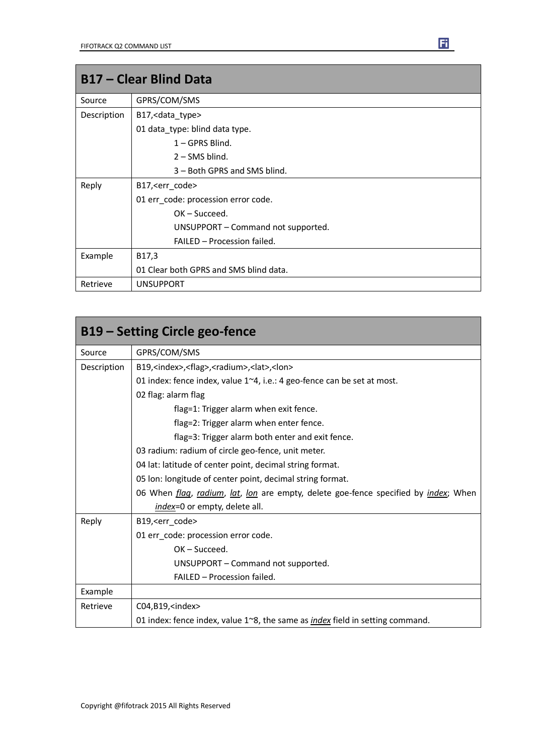| <b>B17 - Clear Blind Data</b> |                                        |
|-------------------------------|----------------------------------------|
| Source                        | GPRS/COM/SMS                           |
| Description                   | B17, < data_type>                      |
|                               | 01 data_type: blind data type.         |
|                               | $1 - GPRS$ Blind.                      |
|                               | $2 -$ SMS blind.                       |
|                               | 3 – Both GPRS and SMS blind.           |
| Reply                         | B17, < err_code>                       |
|                               | 01 err_code: procession error code.    |
|                               | $OK - Succeed.$                        |
|                               | UNSUPPORT - Command not supported.     |
|                               | FAILED - Procession failed.            |
| Example                       | B17,3                                  |
|                               | 01 Clear both GPRS and SMS blind data. |
| Retrieve                      | <b>UNSUPPORT</b>                       |

| <b>B19 - Setting Circle geo-fence</b> |                                                                                                    |
|---------------------------------------|----------------------------------------------------------------------------------------------------|
| Source                                | GPRS/COM/SMS                                                                                       |
| Description                           | B19, <index>,<flag>,<radium>,<lat>,<lon></lon></lat></radium></flag></index>                       |
|                                       | 01 index: fence index, value 1~4, i.e.: 4 geo-fence can be set at most.                            |
|                                       | 02 flag: alarm flag                                                                                |
|                                       | flag=1: Trigger alarm when exit fence.                                                             |
|                                       | flag=2: Trigger alarm when enter fence.                                                            |
|                                       | flag=3: Trigger alarm both enter and exit fence.                                                   |
|                                       | 03 radium: radium of circle geo-fence, unit meter.                                                 |
|                                       | 04 lat: latitude of center point, decimal string format.                                           |
|                                       | 05 Ion: longitude of center point, decimal string format.                                          |
|                                       | 06 When <i>flag, radium, lat, lon</i> are empty, delete goe-fence specified by <i>index</i> ; When |
|                                       | index=0 or empty, delete all.                                                                      |
| Reply                                 | B19, <err code=""></err>                                                                           |
|                                       | 01 err_code: procession error code.                                                                |
|                                       | $OK - Succeed.$                                                                                    |
|                                       | UNSUPPORT - Command not supported.                                                                 |
|                                       | FAILED - Procession failed.                                                                        |
| Example                               |                                                                                                    |
| Retrieve                              | C04, B19, <index></index>                                                                          |
|                                       | 01 index: fence index, value 1~8, the same as <i>index</i> field in setting command.               |

Ħ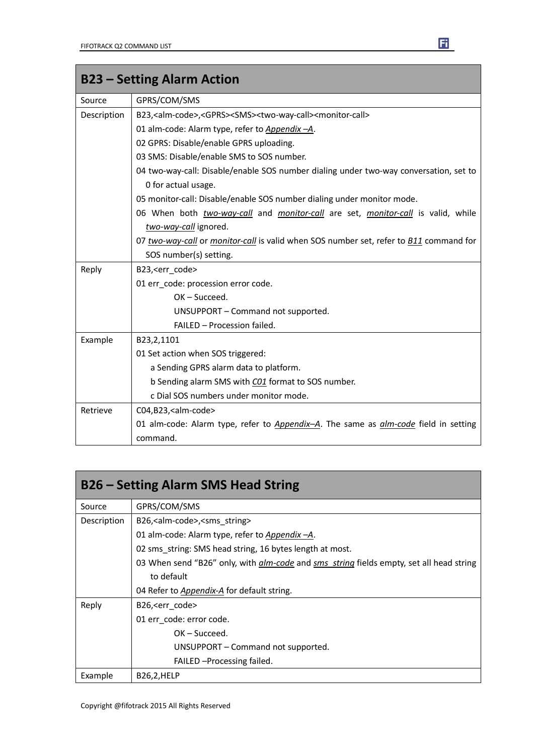| <b>B23 - Setting Alarm Action</b> |                                                                                                               |
|-----------------------------------|---------------------------------------------------------------------------------------------------------------|
| Source                            | GPRS/COM/SMS                                                                                                  |
| Description                       | B23, <alm-code>,<gprs><sms><two-way-call><monitor-call></monitor-call></two-way-call></sms></gprs></alm-code> |
|                                   | 01 alm-code: Alarm type, refer to Appendix -A.                                                                |
|                                   | 02 GPRS: Disable/enable GPRS uploading.                                                                       |
|                                   | 03 SMS: Disable/enable SMS to SOS number.                                                                     |
|                                   | 04 two-way-call: Disable/enable SOS number dialing under two-way conversation, set to                         |
|                                   | 0 for actual usage.                                                                                           |
|                                   | 05 monitor-call: Disable/enable SOS number dialing under monitor mode.                                        |
|                                   | 06 When both two-way-call and monitor-call are set, monitor-call is valid, while                              |
|                                   | two-way-call ignored.                                                                                         |
|                                   | 07 two-way-call or monitor-call is valid when SOS number set, refer to <b>B11</b> command for                 |
|                                   | SOS number(s) setting.                                                                                        |
| Reply                             | B23, <err_code></err_code>                                                                                    |
|                                   | 01 err code: procession error code.                                                                           |
|                                   | OK-Succeed.                                                                                                   |
|                                   | UNSUPPORT - Command not supported.                                                                            |
|                                   | FAILED - Procession failed.                                                                                   |
| Example                           | B23,2,1101                                                                                                    |
|                                   | 01 Set action when SOS triggered:                                                                             |
|                                   | a Sending GPRS alarm data to platform.                                                                        |
|                                   | b Sending alarm SMS with CO1 format to SOS number.                                                            |
|                                   | c Dial SOS numbers under monitor mode.                                                                        |
| Retrieve                          | C04,B23, <alm-code></alm-code>                                                                                |
|                                   | 01 alm-code: Alarm type, refer to <i>Appendix-A</i> . The same as <i>alm-code</i> field in setting            |
|                                   | command.                                                                                                      |

| <b>B26 – Setting Alarm SMS Head String</b> |                                                                                                       |
|--------------------------------------------|-------------------------------------------------------------------------------------------------------|
| Source                                     | GPRS/COM/SMS                                                                                          |
| Description                                | B26, <alm-code>,<sms_string></sms_string></alm-code>                                                  |
|                                            | 01 alm-code: Alarm type, refer to Appendix -A.                                                        |
|                                            | 02 sms string: SMS head string, 16 bytes length at most.                                              |
|                                            | 03 When send "B26" only, with <i>alm-code</i> and <i>sms string</i> fields empty, set all head string |
|                                            | to default                                                                                            |
|                                            | 04 Refer to <i>Appendix-A</i> for default string.                                                     |
| Reply                                      | B26, <err code=""></err>                                                                              |
|                                            | 01 err code: error code.                                                                              |
|                                            | $OK - Succeed.$                                                                                       |
|                                            | UNSUPPORT – Command not supported.                                                                    |
|                                            | FAILED - Processing failed.                                                                           |
| Example                                    | <b>B26,2,HELP</b>                                                                                     |

٦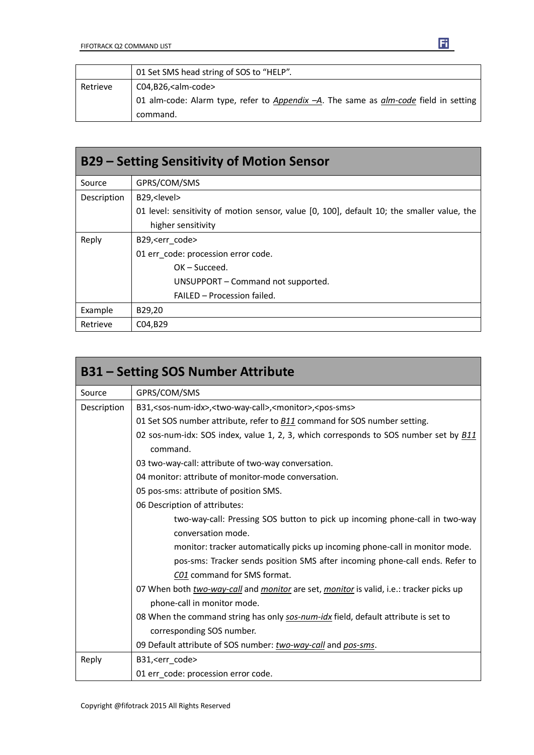|          | 01 Set SMS head string of SOS to "HELP".                                                    |
|----------|---------------------------------------------------------------------------------------------|
| Retrieve | $CO4, B26,$ <alm-code></alm-code>                                                           |
|          | 01 alm-code: Alarm type, refer to Appendix -A. The same as <i>alm-code</i> field in setting |
|          | command.                                                                                    |

 $\mathbf{E}$ 

| <b>B29 - Setting Sensitivity of Motion Sensor</b> |                                                                                            |
|---------------------------------------------------|--------------------------------------------------------------------------------------------|
| Source                                            | GPRS/COM/SMS                                                                               |
| Description                                       | B29, <level></level>                                                                       |
|                                                   | 01 level: sensitivity of motion sensor, value [0, 100], default 10; the smaller value, the |
|                                                   | higher sensitivity                                                                         |
| Reply                                             | B29, <err code=""></err>                                                                   |
|                                                   | 01 err code: procession error code.                                                        |
|                                                   | $OK - Succeed.$                                                                            |
|                                                   | UNSUPPORT – Command not supported.                                                         |
|                                                   | FAILED - Procession failed.                                                                |
| Example                                           | B29,20                                                                                     |
| Retrieve                                          | C04,B29                                                                                    |

| <b>B31 – Setting SOS Number Attribute</b> |                                                                                                              |  |
|-------------------------------------------|--------------------------------------------------------------------------------------------------------------|--|
| Source                                    | GPRS/COM/SMS                                                                                                 |  |
| Description                               | B31, <sos-num-idx>,<two-way-call>,<monitor>,<pos-sms></pos-sms></monitor></two-way-call></sos-num-idx>       |  |
|                                           | 01 Set SOS number attribute, refer to B11 command for SOS number setting.                                    |  |
|                                           | 02 sos-num-idx: SOS index, value 1, 2, 3, which corresponds to SOS number set by <b>B11</b><br>command.      |  |
|                                           | 03 two-way-call: attribute of two-way conversation.                                                          |  |
|                                           | 04 monitor: attribute of monitor-mode conversation.                                                          |  |
|                                           | 05 pos-sms: attribute of position SMS.                                                                       |  |
|                                           | 06 Description of attributes:                                                                                |  |
|                                           | two-way-call: Pressing SOS button to pick up incoming phone-call in two-way                                  |  |
|                                           | conversation mode.                                                                                           |  |
|                                           | monitor: tracker automatically picks up incoming phone-call in monitor mode.                                 |  |
|                                           | pos-sms: Tracker sends position SMS after incoming phone-call ends. Refer to                                 |  |
|                                           | C01 command for SMS format.                                                                                  |  |
|                                           | 07 When both <i>two-way-call</i> and <i>monitor</i> are set, <i>monitor</i> is valid, i.e.: tracker picks up |  |
|                                           | phone-call in monitor mode.                                                                                  |  |
|                                           | 08 When the command string has only sos-num-idx field, default attribute is set to                           |  |
|                                           | corresponding SOS number.                                                                                    |  |
|                                           | 09 Default attribute of SOS number: two-way-call and pos-sms.                                                |  |
| Reply                                     | B31, <err code=""></err>                                                                                     |  |
|                                           | 01 err_code: procession error code.                                                                          |  |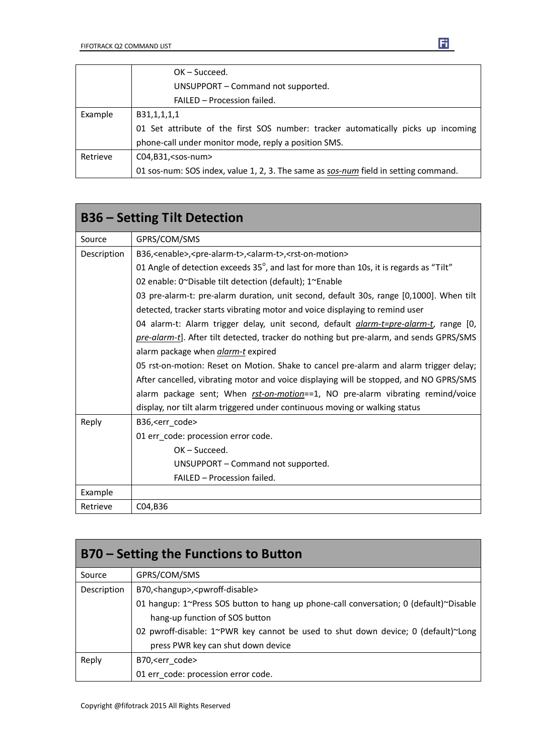|          | $OK - Succeed.$                                                                     |
|----------|-------------------------------------------------------------------------------------|
|          | UNSUPPORT - Command not supported.                                                  |
|          | FAILED - Procession failed.                                                         |
| Example  | B31,1,1,1,1                                                                         |
|          | 01 Set attribute of the first SOS number: tracker automatically picks up incoming   |
|          | phone-call under monitor mode, reply a position SMS.                                |
| Retrieve | $CO4, B31, <$ sos-num $>$                                                           |
|          | 01 sos-num: SOS index, value 1, 2, 3. The same as sos-num field in setting command. |

| <b>B36 - Setting Tilt Detection</b> |                                                                                                           |
|-------------------------------------|-----------------------------------------------------------------------------------------------------------|
| Source                              | GPRS/COM/SMS                                                                                              |
| Description                         | B36, <enable>, <pre-alarm-t>, <alarm-t>, <rst-on-motion></rst-on-motion></alarm-t></pre-alarm-t></enable> |
|                                     | 01 Angle of detection exceeds 35°, and last for more than 10s, it is regards as "Tilt"                    |
|                                     | 02 enable: 0~Disable tilt detection (default); 1~Enable                                                   |
|                                     | 03 pre-alarm-t: pre-alarm duration, unit second, default 30s, range [0,1000]. When tilt                   |
|                                     | detected, tracker starts vibrating motor and voice displaying to remind user                              |
|                                     | 04 alarm-t: Alarm trigger delay, unit second, default <i>alarm-t=pre-alarm-t</i> , range [0,              |
|                                     | pre-alarm-t]. After tilt detected, tracker do nothing but pre-alarm, and sends GPRS/SMS                   |
|                                     | alarm package when alarm-t expired                                                                        |
|                                     | 05 rst-on-motion: Reset on Motion. Shake to cancel pre-alarm and alarm trigger delay;                     |
|                                     | After cancelled, vibrating motor and voice displaying will be stopped, and NO GPRS/SMS                    |
|                                     | alarm package sent; When rst-on-motion==1, NO pre-alarm vibrating remind/voice                            |
|                                     | display, nor tilt alarm triggered under continuous moving or walking status                               |
| Reply                               | B36, <err_code></err_code>                                                                                |
|                                     | 01 err_code: procession error code.                                                                       |
|                                     | $OK - Succeed.$                                                                                           |
|                                     | UNSUPPORT - Command not supported.                                                                        |
|                                     | FAILED - Procession failed.                                                                               |
| Example                             |                                                                                                           |
| Retrieve                            | C04,B36                                                                                                   |

| <b>B70 – Setting the Functions to Button</b> |                                                                                       |
|----------------------------------------------|---------------------------------------------------------------------------------------|
| Source                                       | GPRS/COM/SMS                                                                          |
| Description                                  | B70, <hangup>,<pwroff-disable></pwroff-disable></hangup>                              |
|                                              | 01 hangup: 1~Press SOS button to hang up phone-call conversation; 0 (default)~Disable |
|                                              | hang-up function of SOS button                                                        |
|                                              | 02 pwroff-disable: 1~PWR key cannot be used to shut down device; 0 (default)~Long     |
|                                              | press PWR key can shut down device                                                    |
| Reply                                        | B70, <err code=""></err>                                                              |
|                                              | 01 err_code: procession error code.                                                   |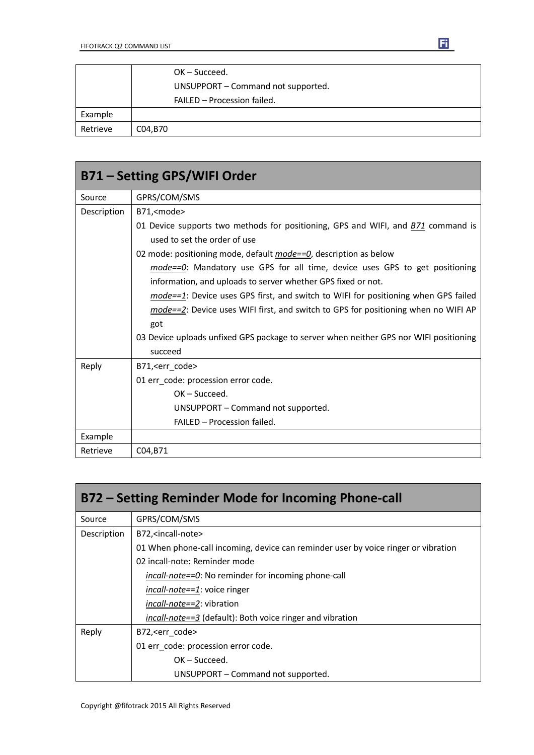|          | OK-Succeed.                        |
|----------|------------------------------------|
|          | UNSUPPORT - Command not supported. |
|          | FAILED - Procession failed.        |
| Example  |                                    |
| Retrieve | C04,B70                            |

| B71 - Setting GPS/WIFI Order |                                                                                         |
|------------------------------|-----------------------------------------------------------------------------------------|
| Source                       | GPRS/COM/SMS                                                                            |
| Description                  | B71, <mode></mode>                                                                      |
|                              | 01 Device supports two methods for positioning, GPS and WIFI, and <b>B71</b> command is |
|                              | used to set the order of use                                                            |
|                              | 02 mode: positioning mode, default <i>mode==0</i> , description as below                |
|                              | mode==0: Mandatory use GPS for all time, device uses GPS to get positioning             |
|                              | information, and uploads to server whether GPS fixed or not.                            |
|                              | $mode==1$ : Device uses GPS first, and switch to WIFI for positioning when GPS failed   |
|                              | mode==2: Device uses WIFI first, and switch to GPS for positioning when no WIFI AP      |
|                              | got                                                                                     |
|                              | 03 Device uploads unfixed GPS package to server when neither GPS nor WIFI positioning   |
|                              | succeed                                                                                 |
| Reply                        | B71, < err_code>                                                                        |
|                              | 01 err_code: procession error code.                                                     |
|                              | $OK - Succeed.$                                                                         |
|                              | UNSUPPORT – Command not supported.                                                      |
|                              | FAILED - Procession failed.                                                             |
| Example                      |                                                                                         |
| Retrieve                     | C04, B71                                                                                |

| B72 – Setting Reminder Mode for Incoming Phone-call |                                                                                    |  |
|-----------------------------------------------------|------------------------------------------------------------------------------------|--|
| Source                                              | GPRS/COM/SMS                                                                       |  |
| Description                                         | B72, <incall-note></incall-note>                                                   |  |
|                                                     | 01 When phone-call incoming, device can reminder user by voice ringer or vibration |  |
|                                                     | 02 incall-note: Reminder mode                                                      |  |
|                                                     | <i>incall-note==0</i> : No reminder for incoming phone-call                        |  |
|                                                     | <i>incall-note==1</i> : voice ringer                                               |  |
|                                                     | <i>incall-note==2</i> : vibration                                                  |  |
|                                                     | incall-note==3 (default): Both voice ringer and vibration                          |  |
| Reply                                               | B72, < err code >                                                                  |  |
|                                                     | 01 err_code: procession error code.                                                |  |
|                                                     | $OK - Succeed.$                                                                    |  |
|                                                     | UNSUPPORT - Command not supported.                                                 |  |

 $\mathbf{E}$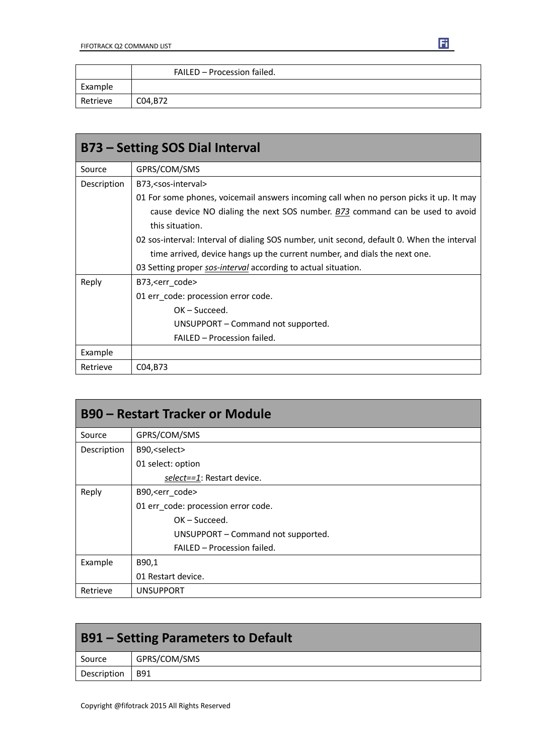|          | FAILED - Procession failed. |
|----------|-----------------------------|
| Example  |                             |
| Retrieve | C04, B72                    |

| <b>B73 - Setting SOS Dial Interval</b> |                                                                                            |  |
|----------------------------------------|--------------------------------------------------------------------------------------------|--|
| Source                                 | GPRS/COM/SMS                                                                               |  |
| Description                            | B73, <sos-interval></sos-interval>                                                         |  |
|                                        | 01 For some phones, voicemail answers incoming call when no person picks it up. It may     |  |
|                                        | cause device NO dialing the next SOS number. B73 command can be used to avoid              |  |
|                                        | this situation.                                                                            |  |
|                                        | 02 sos-interval: Interval of dialing SOS number, unit second, default 0. When the interval |  |
|                                        | time arrived, device hangs up the current number, and dials the next one.                  |  |
|                                        | 03 Setting proper sos-interval according to actual situation.                              |  |
| Reply                                  | B73, < err code >                                                                          |  |
|                                        | 01 err_code: procession error code.                                                        |  |
|                                        | $OK - Succeed.$                                                                            |  |
|                                        | UNSUPPORT – Command not supported.                                                         |  |
|                                        | FAILED - Procession failed.                                                                |  |
| Example                                |                                                                                            |  |
| Retrieve                               | C04, B73                                                                                   |  |

| <b>B90 - Restart Tracker or Module</b> |                                     |
|----------------------------------------|-------------------------------------|
| Source                                 | GPRS/COM/SMS                        |
| Description                            | B90, <select></select>              |
|                                        | 01 select: option                   |
|                                        | select==1: Restart device.          |
| Reply                                  | B90, <err code=""></err>            |
|                                        | 01 err_code: procession error code. |
|                                        | $OK - Succeed.$                     |
|                                        | UNSUPPORT - Command not supported.  |
|                                        | FAILED - Procession failed.         |
| Example                                | B90,1                               |
|                                        | 01 Restart device.                  |
| Retrieve                               | <b>UNSUPPORT</b>                    |

| <b>B91 – Setting Parameters to Default</b> |              |
|--------------------------------------------|--------------|
| Source                                     | GPRS/COM/SMS |
| Description                                | l B91        |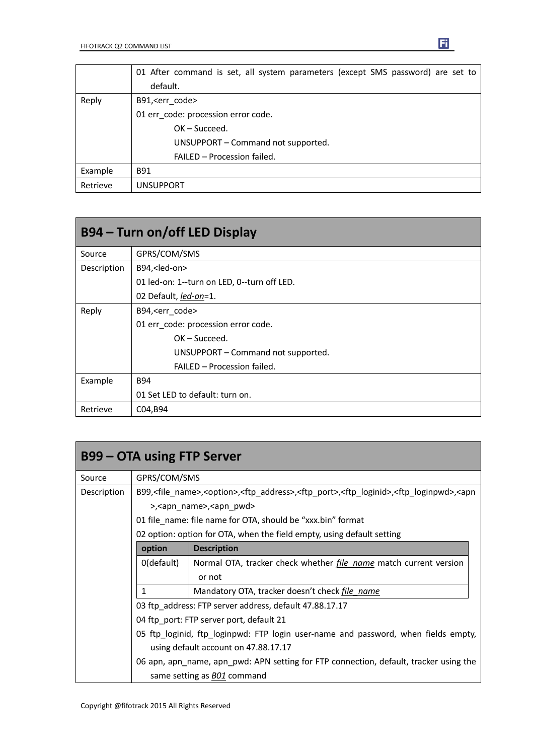|          | 01 After command is set, all system parameters (except SMS password) are set to<br>default. |
|----------|---------------------------------------------------------------------------------------------|
| Reply    | B91, <err code=""></err>                                                                    |
|          | 01 err code: procession error code.                                                         |
|          | $OK - Succeed.$                                                                             |
|          | UNSUPPORT - Command not supported.                                                          |
|          | FAILED - Procession failed.                                                                 |
| Example  | <b>B91</b>                                                                                  |
| Retrieve | <b>UNSUPPORT</b>                                                                            |

| B94 – Turn on/off LED Display |                                             |  |
|-------------------------------|---------------------------------------------|--|
| Source                        | GPRS/COM/SMS                                |  |
| Description                   | B94, <led-on></led-on>                      |  |
|                               | 01 led-on: 1--turn on LED, 0--turn off LED. |  |
|                               | 02 Default, led-on=1.                       |  |
| Reply                         | B94, <err code=""></err>                    |  |
|                               | 01 err code: procession error code.         |  |
|                               | $OK - Succeed.$                             |  |
|                               | UNSUPPORT – Command not supported.          |  |
|                               | FAILED - Procession failed.                 |  |
| Example                       | B94                                         |  |
|                               | 01 Set LED to default: turn on.             |  |
| Retrieve                      | C04, B94                                    |  |

| <b>B99 – OTA using FTP Server</b> |              |                                                                                                                                                                                |
|-----------------------------------|--------------|--------------------------------------------------------------------------------------------------------------------------------------------------------------------------------|
| Source                            | GPRS/COM/SMS |                                                                                                                                                                                |
| Description                       |              | B99, <file_name>,<option>,<ftp_address>,<ftp_port>,<ftp_loginid>,<ftp_loginpwd>,<apn< td=""></apn<></ftp_loginpwd></ftp_loginid></ftp_port></ftp_address></option></file_name> |
|                                   |              | >, <apn name="">,<apn pwd=""></apn></apn>                                                                                                                                      |
|                                   |              | 01 file name: file name for OTA, should be "xxx.bin" format                                                                                                                    |
|                                   |              | 02 option: option for OTA, when the field empty, using default setting                                                                                                         |
|                                   | option       | <b>Description</b>                                                                                                                                                             |
|                                   | 0(default)   | Normal OTA, tracker check whether <i>file name</i> match current version                                                                                                       |
|                                   |              | or not                                                                                                                                                                         |
|                                   | 1            | Mandatory OTA, tracker doesn't check file name                                                                                                                                 |
|                                   |              | 03 ftp address: FTP server address, default 47.88.17.17                                                                                                                        |
|                                   |              | 04 ftp port: FTP server port, default 21                                                                                                                                       |
|                                   |              | 05 ftp_loginid, ftp_loginpwd: FTP login user-name and password, when fields empty,                                                                                             |
|                                   |              | using default account on 47.88.17.17                                                                                                                                           |
|                                   |              | 06 apn, apn_name, apn_pwd: APN setting for FTP connection, default, tracker using the                                                                                          |
|                                   |              | same setting as <b>BO1</b> command                                                                                                                                             |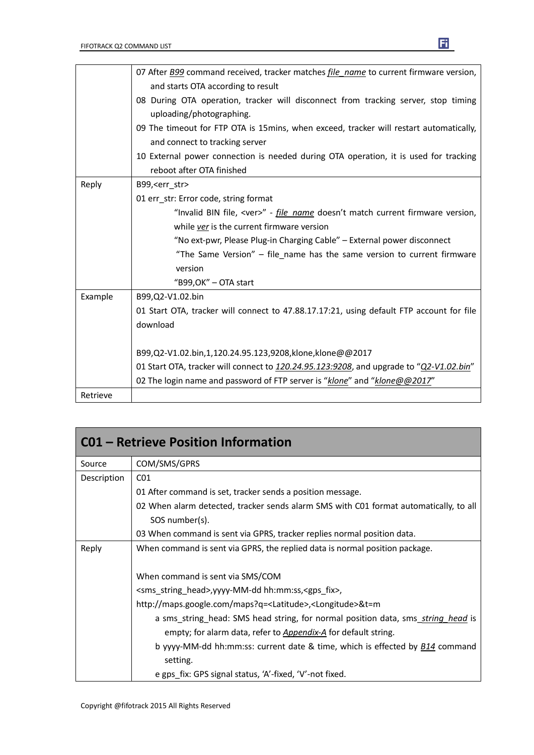|          | 07 After <b>B99</b> command received, tracker matches <i>file name</i> to current firmware version, |
|----------|-----------------------------------------------------------------------------------------------------|
|          | and starts OTA according to result                                                                  |
|          | 08 During OTA operation, tracker will disconnect from tracking server, stop timing                  |
|          | uploading/photographing.                                                                            |
|          | 09 The timeout for FTP OTA is 15mins, when exceed, tracker will restart automatically,              |
|          | and connect to tracking server                                                                      |
|          | 10 External power connection is needed during OTA operation, it is used for tracking                |
|          | reboot after OTA finished                                                                           |
| Reply    | B99, <err str=""></err>                                                                             |
|          | 01 err str: Error code, string format                                                               |
|          | "Invalid BIN file, <ver>" - file name doesn't match current firmware version,</ver>                 |
|          | while ver is the current firmware version                                                           |
|          | "No ext-pwr, Please Plug-in Charging Cable" - External power disconnect                             |
|          | "The Same Version" - file_name has the same version to current firmware                             |
|          | version                                                                                             |
|          | "B99, OK" - OTA start                                                                               |
| Example  | B99,Q2-V1.02.bin                                                                                    |
|          | 01 Start OTA, tracker will connect to 47.88.17.17:21, using default FTP account for file            |
|          | download                                                                                            |
|          |                                                                                                     |
|          | B99,Q2-V1.02.bin,1,120.24.95.123,9208,klone,klone@@2017                                             |
|          | 01 Start OTA, tracker will connect to 120.24.95.123:9208, and upgrade to "Q2-V1.02.bin"             |
|          | 02 The login name and password of FTP server is "klone" and "klone@@2017"                           |
| Retrieve |                                                                                                     |

| <b>C01 - Retrieve Position Information</b> |                                                                                                 |  |
|--------------------------------------------|-------------------------------------------------------------------------------------------------|--|
| Source                                     | COM/SMS/GPRS                                                                                    |  |
| Description                                | CO <sub>1</sub>                                                                                 |  |
|                                            | 01 After command is set, tracker sends a position message.                                      |  |
|                                            | 02 When alarm detected, tracker sends alarm SMS with C01 format automatically, to all           |  |
|                                            | SOS number(s).                                                                                  |  |
|                                            | 03 When command is sent via GPRS, tracker replies normal position data.                         |  |
| Reply                                      | When command is sent via GPRS, the replied data is normal position package.                     |  |
|                                            | When command is sent via SMS/COM                                                                |  |
|                                            | <sms_string_head>,yyyy-MM-dd hh:mm:ss,<gps_fix>,</gps_fix></sms_string_head>                    |  |
|                                            | http://maps.google.com/maps?q= <latitude>,<longitude>&amp;t=m</longitude></latitude>            |  |
|                                            | a sms_string_head: SMS head string, for normal position data, sms_string_head is                |  |
|                                            | empty; for alarm data, refer to Appendix-A for default string.                                  |  |
|                                            | b yyyy-MM-dd hh:mm:ss: current date & time, which is effected by <b>B14</b> command<br>setting. |  |
|                                            | e gps_fix: GPS signal status, 'A'-fixed, 'V'-not fixed.                                         |  |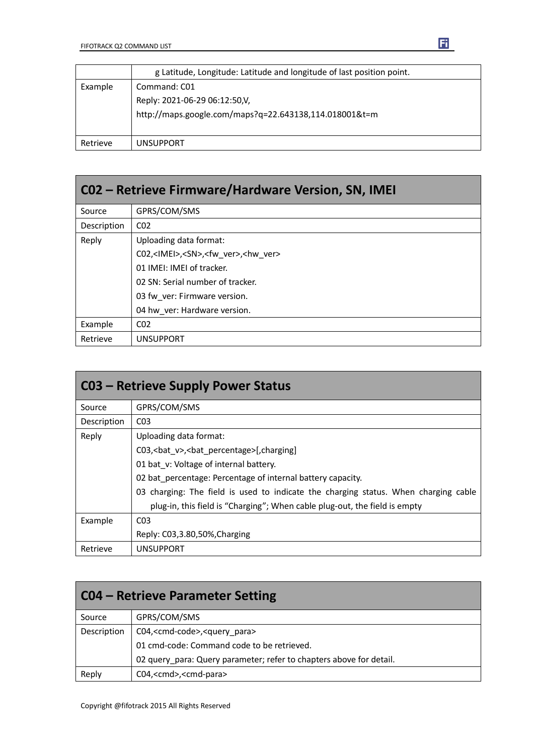|          | g Latitude, Longitude: Latitude and longitude of last position point.                                   |
|----------|---------------------------------------------------------------------------------------------------------|
| Example  | Command: C01<br>Reply: 2021-06-29 06:12:50,V,<br>http://maps.google.com/maps?q=22.643138,114.018001&t=m |
| Retrieve | <b>UNSUPPORT</b>                                                                                        |

| CO2 – Retrieve Firmware/Hardware Version, SN, IMEI |                                                                |  |
|----------------------------------------------------|----------------------------------------------------------------|--|
| Source                                             | GPRS/COM/SMS                                                   |  |
| Description                                        | CO <sub>2</sub>                                                |  |
| Reply                                              | Uploading data format:                                         |  |
|                                                    | C02, <imei>,<sn>,<fw ver="">,<hw ver=""></hw></fw></sn></imei> |  |
|                                                    | 01 IMEI: IMEI of tracker.                                      |  |
|                                                    | 02 SN: Serial number of tracker.                               |  |
|                                                    | 03 fw ver: Firmware version.                                   |  |
|                                                    | 04 hw ver: Hardware version.                                   |  |
| Example                                            | CO <sub>2</sub>                                                |  |
| Retrieve                                           | <b>UNSUPPORT</b>                                               |  |

| <b>CO3 - Retrieve Supply Power Status</b> |                                                                                     |  |  |  |  |
|-------------------------------------------|-------------------------------------------------------------------------------------|--|--|--|--|
| Source                                    | GPRS/COM/SMS                                                                        |  |  |  |  |
| Description                               | CO <sub>3</sub>                                                                     |  |  |  |  |
| Reply                                     | Uploading data format:                                                              |  |  |  |  |
|                                           | C03, < bat v>, < bat percentage>[, charging]                                        |  |  |  |  |
|                                           | 01 bat v: Voltage of internal battery.                                              |  |  |  |  |
|                                           | 02 bat percentage: Percentage of internal battery capacity.                         |  |  |  |  |
|                                           | 03 charging: The field is used to indicate the charging status. When charging cable |  |  |  |  |
|                                           | plug-in, this field is "Charging"; When cable plug-out, the field is empty          |  |  |  |  |
| Example                                   | CO <sub>3</sub>                                                                     |  |  |  |  |
|                                           | Reply: C03,3.80,50%, Charging                                                       |  |  |  |  |
| Retrieve                                  | <b>UNSUPPORT</b>                                                                    |  |  |  |  |

| <b>CO4 – Retrieve Parameter Setting</b> |                                                                     |  |  |
|-----------------------------------------|---------------------------------------------------------------------|--|--|
| Source                                  | GPRS/COM/SMS                                                        |  |  |
| Description                             | C04, <cmd-code>,<query_para></query_para></cmd-code>                |  |  |
|                                         | 01 cmd-code: Command code to be retrieved.                          |  |  |
|                                         | 02 query_para: Query parameter; refer to chapters above for detail. |  |  |
| Reply                                   | C04, <cmd>,<cmd-para></cmd-para></cmd>                              |  |  |

 $\mathbf{F}$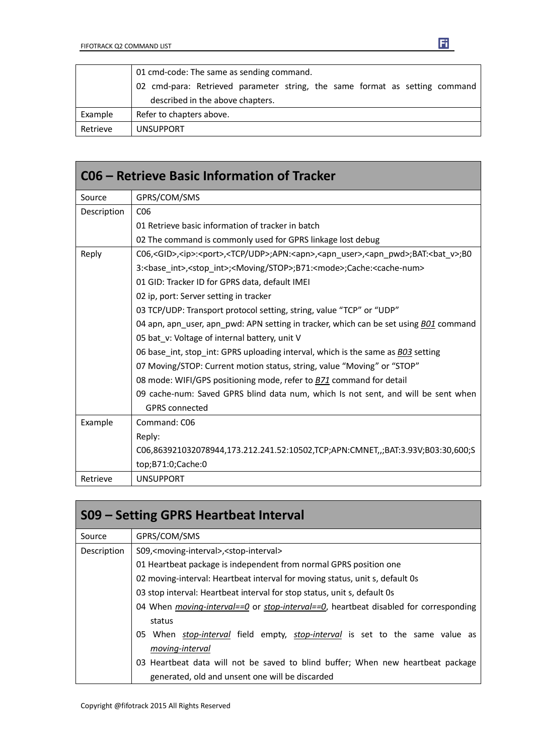|          | 01 cmd-code: The same as sending command.                                   |  |  |  |  |  |
|----------|-----------------------------------------------------------------------------|--|--|--|--|--|
|          | 02 cmd-para: Retrieved parameter string, the same format as setting command |  |  |  |  |  |
|          | described in the above chapters.                                            |  |  |  |  |  |
| Example  | Refer to chapters above.                                                    |  |  |  |  |  |
| Retrieve | <b>UNSUPPORT</b>                                                            |  |  |  |  |  |

| C06 – Retrieve Basic Information of Tracker |                                                                                                                                                 |  |  |  |
|---------------------------------------------|-------------------------------------------------------------------------------------------------------------------------------------------------|--|--|--|
| Source                                      | GPRS/COM/SMS                                                                                                                                    |  |  |  |
| Description                                 | C <sub>06</sub>                                                                                                                                 |  |  |  |
|                                             | 01 Retrieve basic information of tracker in batch                                                                                               |  |  |  |
|                                             | 02 The command is commonly used for GPRS linkage lost debug                                                                                     |  |  |  |
| Reply                                       | C06, <gid>,<ip>:<port>,<tcp udp="">;APN:<apn>,<apn_user>,<apn_pwd>;BAT:<br/>&gt;bat_v&gt;;B0</apn_pwd></apn_user></apn></tcp></port></ip></gid> |  |  |  |
|                                             | 3: <base int=""/> , <stop int="">;<moving stop="">;B71:<mode>;Cache:<cache-num></cache-num></mode></moving></stop>                              |  |  |  |
|                                             | 01 GID: Tracker ID for GPRS data, default IMEI                                                                                                  |  |  |  |
|                                             | 02 ip, port: Server setting in tracker                                                                                                          |  |  |  |
|                                             | 03 TCP/UDP: Transport protocol setting, string, value "TCP" or "UDP"                                                                            |  |  |  |
|                                             | 04 apn, apn user, apn pwd: APN setting in tracker, which can be set using B01 command                                                           |  |  |  |
|                                             | 05 bat v: Voltage of internal battery, unit V                                                                                                   |  |  |  |
|                                             | 06 base int, stop int: GPRS uploading interval, which is the same as B03 setting                                                                |  |  |  |
|                                             | 07 Moving/STOP: Current motion status, string, value "Moving" or "STOP"                                                                         |  |  |  |
|                                             | 08 mode: WIFI/GPS positioning mode, refer to <b>B71</b> command for detail                                                                      |  |  |  |
|                                             | 09 cache-num: Saved GPRS blind data num, which Is not sent, and will be sent when                                                               |  |  |  |
|                                             | <b>GPRS</b> connected                                                                                                                           |  |  |  |
| Example                                     | Command: C06                                                                                                                                    |  |  |  |
|                                             | Reply:                                                                                                                                          |  |  |  |
|                                             | C06,863921032078944,173.212.241.52:10502,TCP;APN:CMNET,,;BAT:3.93V;B03:30,600;S                                                                 |  |  |  |
|                                             | top;B71:0;Cache:0                                                                                                                               |  |  |  |
| Retrieve                                    | <b>UNSUPPORT</b>                                                                                                                                |  |  |  |

| S09 – Setting GPRS Heartbeat Interval |                                                                                               |  |  |  |  |
|---------------------------------------|-----------------------------------------------------------------------------------------------|--|--|--|--|
| Source                                | GPRS/COM/SMS                                                                                  |  |  |  |  |
| Description                           | S09, <moving-interval>,<stop-interval></stop-interval></moving-interval>                      |  |  |  |  |
|                                       | 01 Heartbeat package is independent from normal GPRS position one                             |  |  |  |  |
|                                       | 02 moving-interval: Heartbeat interval for moving status, unit s, default 0s                  |  |  |  |  |
|                                       | 03 stop interval: Heartbeat interval for stop status, unit s, default 0s                      |  |  |  |  |
|                                       | 04 When moving-interval==0 or stop-interval==0, heartbeat disabled for corresponding          |  |  |  |  |
|                                       | status                                                                                        |  |  |  |  |
|                                       | When <i>stop-interval</i> field empty, <i>stop-interval</i> is set to the same value as<br>05 |  |  |  |  |
|                                       | moving-interval                                                                               |  |  |  |  |
|                                       | 03 Heartbeat data will not be saved to blind buffer; When new heartbeat package               |  |  |  |  |
|                                       | generated, old and unsent one will be discarded                                               |  |  |  |  |

 $\mathbf{E}$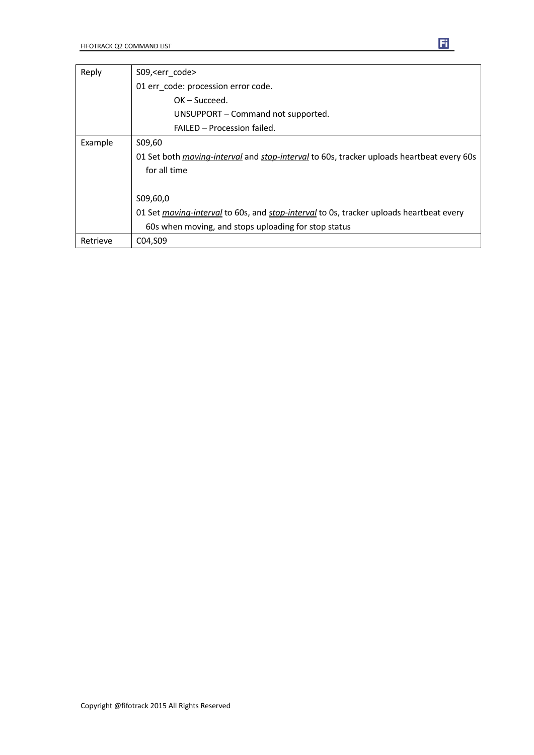| Reply    | S09, <err code=""></err>                                                                                |  |  |  |  |
|----------|---------------------------------------------------------------------------------------------------------|--|--|--|--|
|          | 01 err code: procession error code.                                                                     |  |  |  |  |
|          | $OK - Succeed.$                                                                                         |  |  |  |  |
|          | UNSUPPORT – Command not supported.                                                                      |  |  |  |  |
|          | FAILED - Procession failed.                                                                             |  |  |  |  |
| Example  | S09,60                                                                                                  |  |  |  |  |
|          | 01 Set both <i>moving-interval</i> and <i>stop-interval</i> to 60s, tracker uploads heartbeat every 60s |  |  |  |  |
|          | for all time                                                                                            |  |  |  |  |
|          |                                                                                                         |  |  |  |  |
|          | S09,60,0                                                                                                |  |  |  |  |
|          | 01 Set <i>moving-interval</i> to 60s, and <i>stop-interval</i> to 0s, tracker uploads heartbeat every   |  |  |  |  |
|          | 60s when moving, and stops uploading for stop status                                                    |  |  |  |  |
| Retrieve | C04, S09                                                                                                |  |  |  |  |

Ei